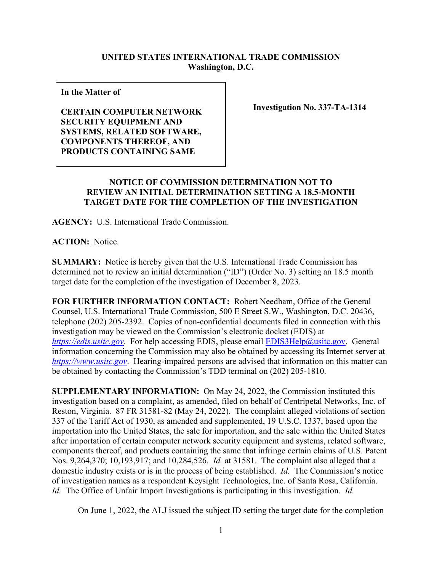## **UNITED STATES INTERNATIONAL TRADE COMMISSION Washington, D.C.**

**In the Matter of** 

**CERTAIN COMPUTER NETWORK SECURITY EQUIPMENT AND SYSTEMS, RELATED SOFTWARE, COMPONENTS THEREOF, AND PRODUCTS CONTAINING SAME**

**Investigation No. 337-TA-1314**

## **NOTICE OF COMMISSION DETERMINATION NOT TO REVIEW AN INITIAL DETERMINATION SETTING A 18.5-MONTH TARGET DATE FOR THE COMPLETION OF THE INVESTIGATION**

**AGENCY:** U.S. International Trade Commission.

**ACTION:** Notice.

**SUMMARY:** Notice is hereby given that the U.S. International Trade Commission has determined not to review an initial determination ("ID") (Order No. 3) setting an 18.5 month target date for the completion of the investigation of December 8, 2023.

**FOR FURTHER INFORMATION CONTACT:** Robert Needham, Office of the General Counsel, U.S. International Trade Commission, 500 E Street S.W., Washington, D.C. 20436, telephone (202) 205-2392. Copies of non-confidential documents filed in connection with this investigation may be viewed on the Commission's electronic docket (EDIS) at *[https://edis.usitc.gov](https://edis.usitc.gov/).* For help accessing EDIS, please email [EDIS3Help@usitc.gov.](mailto:EDIS3Help@usitc.gov) General information concerning the Commission may also be obtained by accessing its Internet server at *[https://www.usitc.gov](https://www.usitc.gov/)*. Hearing-impaired persons are advised that information on this matter can be obtained by contacting the Commission's TDD terminal on (202) 205-1810.

**SUPPLEMENTARY INFORMATION:** On May 24, 2022, the Commission instituted this investigation based on a complaint, as amended, filed on behalf of Centripetal Networks, Inc. of Reston, Virginia. 87 FR 31581-82 (May 24, 2022). The complaint alleged violations of section 337 of the Tariff Act of 1930, as amended and supplemented, 19 U.S.C. 1337, based upon the importation into the United States, the sale for importation, and the sale within the United States after importation of certain computer network security equipment and systems, related software, components thereof, and products containing the same that infringe certain claims of U.S. Patent Nos. 9,264,370; 10,193,917; and 10,284,526. *Id.* at 31581. The complaint also alleged that a domestic industry exists or is in the process of being established. *Id.* The Commission's notice of investigation names as a respondent Keysight Technologies, Inc. of Santa Rosa, California. *Id.* The Office of Unfair Import Investigations is participating in this investigation. *Id.*

On June 1, 2022, the ALJ issued the subject ID setting the target date for the completion